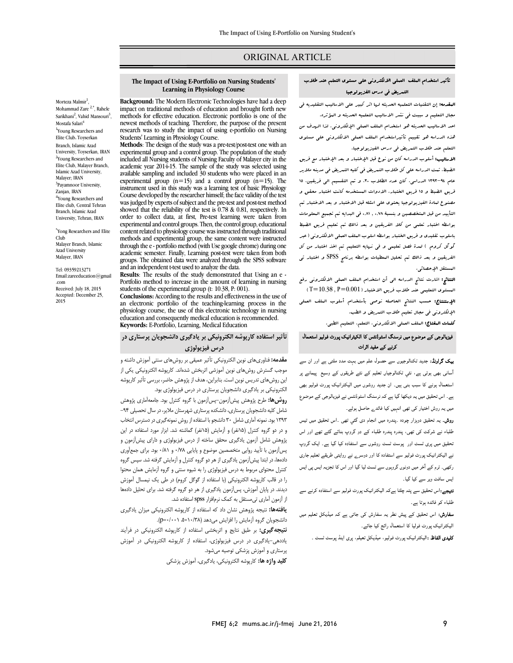## ORIGINAL ARTICLE

#### **The Impact of Using E-Portfolio on Nursing Students' Learning in Physiology Course**

Ī  $\overline{a}$ 

Morteza Malmir<sup>1</sup>, Mohammad Zare<sup>2,\*</sup>, Rahele Sarikhani<sup>2</sup>, Vahid Mansouri<sup>3</sup>, Mostafa Salari<sup>4</sup> 1 Young Researchers and Elite Club، Toyserkan Branch, Islamic Azad University, Toyserkan, IRAN <sup>2</sup>Young Researchers and Elite Club, Malayer Branch, Islamic Azad University, Malayer; IRAN <sup>3</sup>Payamnoor University, Zanjan, IRAN <sup>4</sup>Young Researchers and Elite club, Central Tehran Branch, Islamic Azad University, Tehran, IRAN

\* Yong Researchers and Elite Club Malayer Branch, Islamic Azad University Malayer, IRAN

Tel: 09359213271 Email:zareeducation@gmail .com Received: July 18, 2015 Accepted: December 25, 2015

 **Background:** The Modern Electronic Technologies have had a deep impact on traditional methods of education and brought forth new methods for effective education. Electronic portfolio is one of the<br>newest methods of teaching. Therefore, the purpose of the present research was to study the impact of using e-portfolio on Nursing methods for effective education. Electronic portfolio is one of the Students' Learning in Physiology Course.

 **Methods**: The design of the study was a pre-test/post-test one with an experimental group and a control group. The population of the study academic year 2014-15. The sample of the study was selected using available sampling and included 30 students who were placed in an  $\alpha$  are included  $(2\pi 15)$ . The instrument used in this study was a learning test of basic Physiology was judged by experts of subject and the pre-test and post-test method showed that the reliability of the test is 0.78 & 0.81, respectively. In experimental and control groups. Then, the control group, educational content related to physiology course was instructed through traditional through the e - portfolio method (with Use google chrome) during one academic semester. Finally, Learning post-test were taken from both arouns. The obtained data were applyzed through the SPSS software. and an independent t-test used to analyze the data. included all Nursing students of Nursing Faculty of Malayer city in the experimental group  $(n=15)$  and a control group  $(n=15)$ . The Course developed by the researcher himself; the face validity of the test order to collect data, at first, Pre-test learning were taken from methods and experimental group, the same content were instructed groups. The obtained data were analyzed through the SPSS software

**RESULIS:** The results of the study demonstrated that Using an e-<br>Portfolio method to increase in the amount of learning in nursing students of the experimental group (t: 10.38, P: 001). an electronic portfolio of the teaching-learning process in the physiology course, the use of this electronic technology in nursing **Keywords:** E-Portfolio, Learning, Medical Education **Results**: The results of the study demonstrated that Using an e - **Conclusions:** According to the results and effectiveness in the use of education and consequently medical education is recommended.

# **تأثیر استفاده کارپوشه الکترونیکی بر یادگیري دانشجویان پرستاري در درس فیزیولوژي**

 **مقدمه:** فناوريهاي نوین الکترونیکی تأثیر عمیقی بر روشهاي سنتی آموزش داشته و موجب گسترش روشهاي نوین آموزشی اثربخش شدهاند. کارپوشه الکترونیکی یکی از این روشهاي تدریس نوین است. بنابراین،هدف از پژوهش حاضر، بررسی تأثیر کارپوشه الکترونیکی بر یادگیري دانشجویان پرستاري در درس فیزیولوژي بود.

**روس مد .** هرج پروهس پیس رموں -پس رموں به نروه نسرل بود. جمعه مدری پروهس<br>شامل کلیه دانشجویان پرستاری، دانشکده پرستاری شهرستان ملایر، در سال تحصیلی ۹۴- 1393 بود. نمونهآماريشامل 30 دانشجوبا استفاده از روش نمونهگیريدر دسترس انتخاب و در دو گروه کنترل (15نفر) و آزمایش (15نفر) گماشته شد. ابزار مورد استفاده در این پژوهش شامل آزمون یادگیري محقق ساخته از درس فیزیولوژي و داراي پیشآزمون و پسآزمون با تأیید روایی متخصصین موضوع و پایایی 0/78 و 0/81 بود. براي جمعآوري دادهها، در ابتدا پیشآزمون یادگیري ازهردو گروه کنترل و آزمایش گرفته شد. سپس گروه کنترل محتواي مربوط به درس فیزیولوژي را به شیوه سنتی و گروه آزمایش همان محتوا ر. در حب در پوست معروب ی ر. مستعد از حوال حرو <sub>ال</sub> در حتی یافت پیستان موراس<br>دیدند. در پایان آموزش، پس|آزمون یادگیری از هر دو گروه گرفته شد. برای تحلیل دادهها از آزمون آماري تیمستقل به کمک نرمافزار spss استفاده شد. **روشها:** طرح پژوهش پیشآزمون-پسآزمون با گروه کنترل بود. جامعهآماري پژوهش را در قالب کارپوشه الکترونیکی (با استفاده از گوگل کروم) در طی یک نیمسال آموزش

 **یافتهها:** نتیجه پژوهش نشان داد که استفاده از کارپوشه الکترونیکی میزان یادگیري دانشجویان گروه آزمایش را افزایش میدهد (۱۰/۳۸=t، ۰۰۱۰+p=).

 **نتیجهگیري:** بر طبق نتایج و اثربخشی استفاده از کارپوشه الکترونیکی در فرآیند یاددهی-یادگیري در درس فیزیولوژي، استفاده از کارپوشه الکترونیکی در آموزش پرستاري و آموزش پزشکی توصیه میشود.

**کلید واژه ها:** کارپوشه الکترونیکی، یادگیري، آموزش پزشکی

## تأثیر استخدام الملف العملی الالکترونی علی مستوي التعلم عند طلاب التمریض فی درس الفزیولوجیا

Ī  $\overline{a}$ 

**البقدمه:** إن التقنیات التعلمیه الحدیثه لرما اثر کبیر عل<sub>ی</sub> الاسالیب التقلیدیه فی<br>- مجال التعلیم و سببت فی نشر الاسالیب التعلمیه الحدیثه و المؤثره. احد الاسالیب الحدیثه هو استخدام العلف الععلی الإلکترونی. لذا الرسدف من<br>. هذه الدراسه هو تقییم تأثیراستخدام الملف العملی الالکترونی علی مستوي التعلم عند طلاب التمریض فی درس الفیزیولوجیا.

المسلم لیبو کانوب العریق کی کر ل العیریولوبیہ:<br>**الامالیب: أ**ملوب الدراس*ه کان من نوع قبل الإختبار و بعد الإختبار مع فریق* الصادر الشبط. السواب الذراء السمال علی لبن الیکسیبور و بست کیا سببور سے کریں۔<br>الضبط. تبت الدراسه علی کل طلاب التعریض فی کلیه التعریض فی مدینه ملایر عام 1394-1394 الدراسی. کان عدد الطلاب ،٦٠ و تم التقسیم الی فریقین، ١٥<br>عام ٩٤-١٣٩٣ الدراسی. کان عدد الطلاب ،٦٠ و تم التقسیم الی فریقین، ١٥ فریق الضبط و 15 فریق الختبار. الادوات المستخدمه کانت اختبار محقق و مصنوع لمادة الفیزیولوجیا یحتوي علی اسئله قبل الاختبار و بعد الاختبار تم التأیید من قبل المتخصصین و بنسبۀ 0,78 , 0,81 فی البدایه تم تجمیع المعلومات بواسطه اختبار تعلمی من کلا الفریقین و بعد ذالک تم تعلیم فریق الضبط باسلوب تقلیدي و فریق الختبار بواسطه اسلوب الملف العملی الالکترونی (عبر گوگل کروم ) لمدة فصل تعلیمی و فی نهایه التعلیم تم اخذ اختبار من کل الفریقین و بعد ذالک تم تحلیل المعطیات بواسطه برنامج SPSS و اختبار تی المستقل الإحصائی.

 النتائج: اشارت نتائج الدراسه الی أن استخدام الملف العملی الالکترونی رفع المستوى التعليمى عند طلاب فريق الاختبار ( P=0.001 , 1=10.38 ) الإستنتاج: حسب النتائج الحاصله نوصی بأستخدام أسلوب الملف العملی الإلکترونی فی مجال تعلیم طلاب التمریض و الطب.

کلمات المفتاج: الملف العملی الالکترونی، التعلم، التعلیم الطبی.

## فیزیالوجی کے موضوع میں نرسنگ اسٹوڈنٹس کا الکیٹرانیک پورٹ فولیو استعمال کرنے کے مفید اثرات

**بیک گراونڈ:** جدید ٹکنالوجیوں سے حصول علم میں بہت مدد ملتی ہے اور ان سے ۔<br>آسانی بھی ہوتی ہے، نئي ٹکنالوجیاں تعلیم کے نئے طریقوں کے وسیع پیمانے پر استعمال ہونے کا سبب بنی ہیں۔ ان جدید روشوں میں الیکٹرانیک پورٹ فولیو بھی ہے۔ اس تحقیق میں یہ دیکھا گیا ہے کہ نرسنگ اسٹوڈنٹس نے فیزیالوجی کے موضوع میں یہ روش اختیار کی تھی انہیں کیا فائد<sub>ے</sub> حاصل ہوئے۔

ر**وش۔** یہ تحقیق دوہزار چودہ ۔پندرہ میں انجام دی گئي تھی ۔اس تحقیق میں تیس ۔<br>طلباء نے شرکت کی تھی، پندرہ پندرہ طلباء کے دو گروپ بنائے گئے تھے اور اس ۔<br>نحقیق میں پری ٹسٹ اور پوسٹ ٹسٹ روشوں سے استفادہ کیا گیا ہے۔ ایک گروپ ۔<br>نے الیکٹرانیک پورٹ فولیو سے استفادہ کا اور دوسرے نے روایتی طریقے تعلیم جاری ے میں دورہ کے بعد کا محمد کے مسلمان کے لیے اس کے مقدمات کر ہے۔<br>رکھی۔ ٹرم کے آخر میں دونوں گروپوں سے ٹسٹ لیا گیا اور اس کا تجزیہ ایس پی ایس و ہی ہے او سے کیا گیا۔<br>ایس سافٹ ویر سے کیا گیا۔

۔ ں<br>**نتیجے:**اس تحقیق سے پتہ چلتا ہےکہ الیکٹرانیک پورٹ فولیو سے استفادہ کرنے سے ۔بیہے ۔<br>طلباء کو فائدہ ہوتا ہے۔

صبہ عر حصہ ہو۔ ہے۔<br>**سفارش:** اس تحقیق کے پیش نطر یہ سفارش کی جاتی ہے کہ میڈیکل تعلیم میں ٦ الیکٹرانیک پورٹ فولیا کا استعمال رائج کیا جائے۔<br>۔

**کلیدی الفاظ :**الیکٹرانیک پورٹ فولیو، میڈیکل تعیلم، پری اینڈ پوسٹ ٹسٹ ۔<br>۔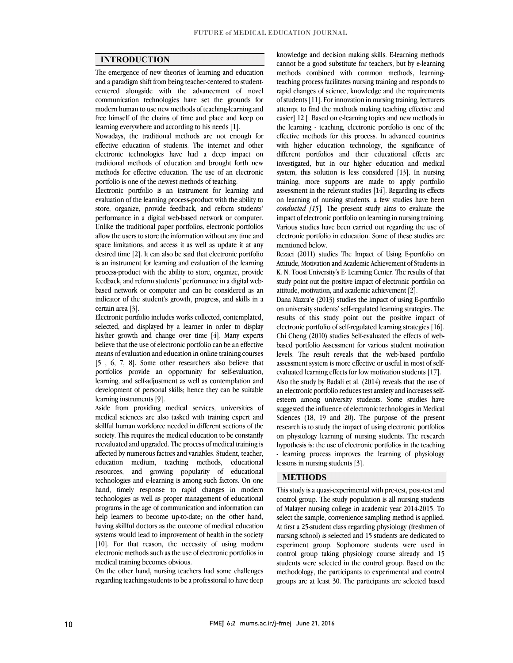$\overline{a}$  $\overline{a}$ 

### **INTRODUCTION**

 The emergence of new theories of learning and education and a paradigm shift from being teacher-centered to student- communication technologies have set the grounds for modern human to use new methods of teaching-learning and free himself of the chains of time and place and keep on centered alongside with the advancement of novel learning everywhere and according to his needs [1].

learning everywhere and according to his needs [1].<br>Nowadays, the traditional methods are not enough for effective education of students. The internet and other electronic technologies have had a deep impact on traditional methods of education and brought forth new methods for effective education. The use of an electronic portfolio is one of the newest methods of teaching.

 Electronic portfolio is an instrument for learning and evaluation of the learning process-product with the ability to store, organize, provide feedback, and reform students' Unlike the traditional paper portfolios, electronic portfolios allow the users to store the information without any time and space limitations, and access it as well as update it at any desired time [2]. It can also be said that electronic portfolio process-product with the ability to store, organize, provide feedback, and reform students' performance in a digital web- based network or computer and can be considered as an indicator of the student's growth, progress, and skills in a performance in a digital web-based network or computer. is an instrument for learning and evaluation of the learning certain area [3].

 Electronic portfolio includes works collected, contemplated, selected, and displayed by a learner in order to display his/her growth and change over time [4]. Many experts believe that the use of electronic portfolio can be an effective [5 , 6, 7, 8]. Some other researchers also believe that portfolios provide an opportunity for self-evaluation, learning, and self-adjustment as well as contemplation and development of personal skills; hence they can be suitable means of evaluation and education in online training courses learning instruments [9].

 Aside from providing medical services, universities of medical sciences are also tasked with training expert and skillful human workforce needed in different sections of the reevaluated and upgraded. The process of medical training is affected by numerous factors and variables. Student, teacher, education medium, teaching methods, educational resources, and growing popularity of educational hand, timely response to rapid changes in modern technologies as well as proper management of educational programs in the age of communication and information can help learners to become up-to-date; on the other hand, systems would lead to improvement of health in the society [10]. For that reason, the necessity of using modern electronic methods such as the use of electronic portfolios in society. This requires the medical education to be constantly technologies and e-learning is among such factors. On one having skillful doctors as the outcome of medical education medical training becomes obvious.

medical training becomes obvious.<br>On the other hand, nursing teachers had some challenges regarding teaching students to be a professional to have deep Î

 cannot be a good substitute for teachers, but by e-learning methods combined with common methods, learning- teaching process facilitates nursing training and responds to of students [11]. For innovation in nursing training, lecturers attempt to find the methods making teaching effective and easier] 12 [. Based on e-learning topics and new methods in the learning - teaching, electronic portfolio is one of the with higher education technology, the significance of different portfolios and their educational effects are investigated, but in our higher education and medical system, this solution is less considered [15]. In hursing<br>training, more supports are made to apply portfolio assessment in the relevant studies  $[14]$ . Regarding its effects on learning of nursing students, a few studies have been *conducted [15*]*.* The present study aims to evaluate the Various studies have been carried out regarding the use of electronic portfolio in education. Some of these studies are knowledge and decision making skills. E-learning methods rapid changes of science, knowledge and the requirements effective methods for this process. In advanced countries system, this solution is less considered [13]. In nursing impact of electronic portfolio on learning in nursing training. mentioned below.

 Rezaei (2011) studies The Impact of Using E-portfolio on K. N. Toosi University's E- Learning Center. The results of that study point out the positive impact of electronic portfolio on Attitude, Motivation and Academic Achievement of Students in attitude, motivation, and academic achievement [2].

 Dana Mazra'e (2013) studies the impact of using E-portfolio on unversity students sen-regulated rearning strategies. The results of this study point out the positive impact of electronic portfolio of self-regulated learning strategies [16]. Chi Cheng (2010) studies Self-evaluated the effects of web- based portfolio Assessment for various student motivation assessment system is more effective or useful in most of self- evaluated learning effects for low motivation students [17]. Also the study by Badali et al. (2014) reveals that the use of an electronic portfolio reduces test anxiety and increases selfsuggested the influence of electronic technologies in Medical Sciences (18, 19 and 20). The purpose of the present research is to study the impact of using electronic portfolios on physiology learning of nursing students. The research - learning process improves the learning of physiology on university students' self-regulated learning strategies. The levels. The result reveals that the web-based portfolio esteem among university students. Some studies have hypothesis is: the use of electronic portfolios in the teaching lessons in nursing students [3].

#### **METHODS**

 This study is a quasi-experimental with pre-test, post-test and control group. The study population is all nursing students of Malayer nursing college in academic year 2014-2015. To select the sample, convenience sampling method is applied. nursing school) is selected and 15 students are dedicated to experiment group. Sophomore students were used in control group taking physiology course already and 15 students were selected in the control group. Based on the groups are at least 30. The participants are selected based At first a 25-student class regarding physiology (freshmen of methodology, the participants to experimental and control

٦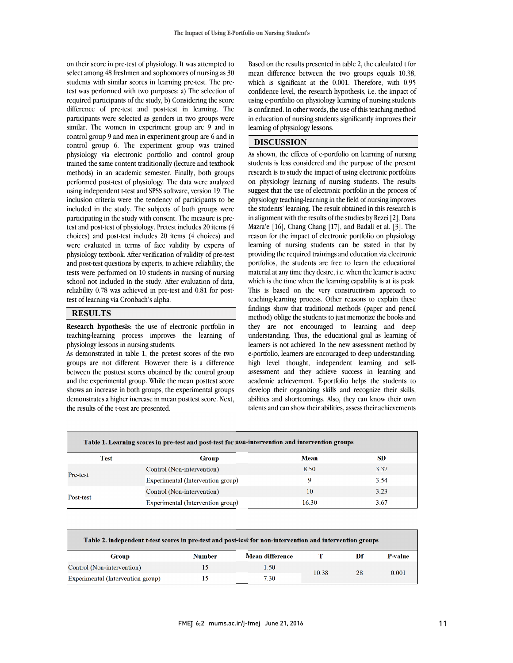on their score in pre-test of physiology. It was attempted to select among 48 freshmen and sophomores of nursing as 30 students with similar scores in learning pre-test. The pre- required participants of the study, b) Considering the score difference of pre-test and post-test in learning. The participants were selected as genders in two groups were similar. The women in experiment group are 9 and in control group *f* and their in experiment group are *b* and in<br>control group 6. The experiment group was trained physiology via electronic portfolio and control group trained the same content traditionally (lecture and textbook methods) in an academic semester. Finally, both groups using independent t-test and SPSS software, version 19. The inclusion criteria were the tendency of participants to be included in the study. The subjects of both groups were participating in the study with consent. The measure is pre- choices) and post-test includes 20 items (4 choices) and were evaluated in terms of face validity by experts of physiology textbook. After verification of validity of pre-test and post-test questions by experts, to achieve renability, the<br>tests were performed on 10 students in nursing of nursing school not included in the study. After evaluation of data, reliability 0.78 was achieved in pre-test and 0.81 for posttest was performed with two purposes: a) The selection of control group 9 and men in experiment group are 6 and in performed post-test of physiology. The data were analyzed test and post-test of physiology. Pretest includes 20 items (4 and post-test questions by experts, to achieve reliability, the test of learning via Cronbach's alpha.

#### **RESULTS**

 **Research hypothesis:** the use of electronic portfolio in teaching-learning process improves the learning of physiology lessons in nursing students.

physiology lessons in nursing students.<br>As demonstrated in table 1, the pretest scores of the two groups are not different. However there is a difference between the posttest scores obtained by the control group and the experimental group. While the mean posttest score shows an increase in both groups, the experimental groups demonstrates a higher increase in mean posttest score. Next,<br>the results of the t-test are presented the results of the t-test are presented.

 Based on the results presented in table 2, the calculated t for mean difference between the two groups equals 10.38, which is significant at the 0.001. Therefore, with 0.95 confidence level, the research hypothesis, i.e. the impact of in education of nursing students significantly improves their  $\overline{a}$ using e-portfolio on physiology learning of nursing students is confirmed. In other words, the use of this teaching method learning of physiology lessons.

### **DISCUSSION**

 As shown, the effects of e-portfolio on learning of nursing students is less considered and the purpose of the present on physiology learning of nursing students. The results suggest that the use of electronic portfolio in the process of physiology teaching-learning in the field of nursing improves the students' learning. The result obtained in this research is Mazra'e [16], Chang Chang [17], and Badali et al. [3]. The reason for the impact of electronic portfolio on physiology learning of nursing students can be stated in that by providing the required trainings and education via electronic material at any time they desire, i.e. when the learner is active which is the time when the learning capability is at its peak. This is based on the very constructivism approach to teaching-learning process. Other reasons to explain these method) oblige the students to just memorize the books and they are not encouraged to learning and deep understanding. Thus, the educational goal as learning of earners is not acnieved. In the new assessment method by<br>e-portfolio, learners are encouraged to deep understanding, high level thought, independent learning and self- assessment and they achieve success in learning and academic achievement. E-portfolio helps the students to abilities and shortcomings. Also, they can know their own talents and can show their abilities, assess their achievements research is to study the impact of using electronic portfolios in alignment with the results of the studies by Rezei [2], Dana portfolios, the students are free to learn the educational findings show that traditional methods (paper and pencil learners is not achieved. In the new assessment method by develop their organizing skills and recognize their skills,

| Table 1. Learning scores in pre-test and post-test for non-intervention and intervention groups |                                   |             |      |  |  |  |
|-------------------------------------------------------------------------------------------------|-----------------------------------|-------------|------|--|--|--|
| Test                                                                                            | <b>Group</b>                      | <b>Mean</b> | SD   |  |  |  |
| Pre-test                                                                                        | Control (Non-intervention)        | 8.50        | 3.37 |  |  |  |
|                                                                                                 | Experimental (Intervention group) |             | 3.54 |  |  |  |
|                                                                                                 | Control (Non-intervention)        | 10          | 3.23 |  |  |  |
| Post-test                                                                                       | Experimental (Intervention group) | 16.30       | 3.67 |  |  |  |

 $\overline{a}$ 

| Table 2. independent t-test scores in pre-test and post-test for non-intervention and intervention groups |               |                 |       |    |         |  |  |
|-----------------------------------------------------------------------------------------------------------|---------------|-----------------|-------|----|---------|--|--|
| Group                                                                                                     | <b>Number</b> | Mean difference |       | Df | P-value |  |  |
| Control (Non-intervention)                                                                                | 15            | 1.50            |       | 28 | 0.001   |  |  |
| Experimental (Intervention group)                                                                         |               | 7.30            | 10.38 |    |         |  |  |

Ϊ

 $\overline{a}$